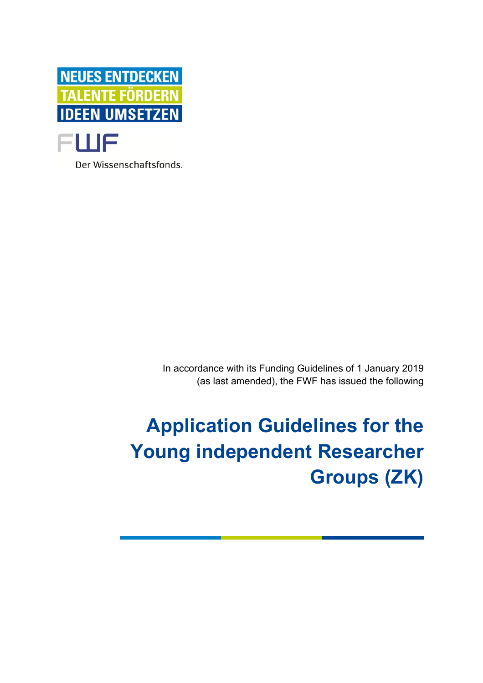

Der Wissenschaftsfonds.

In accordance with its Funding Guidelines of 1 January 2019 (as last amended), the FWF has issued the following

# **Application Guidelines for the Young independent Researcher Groups (ZK)**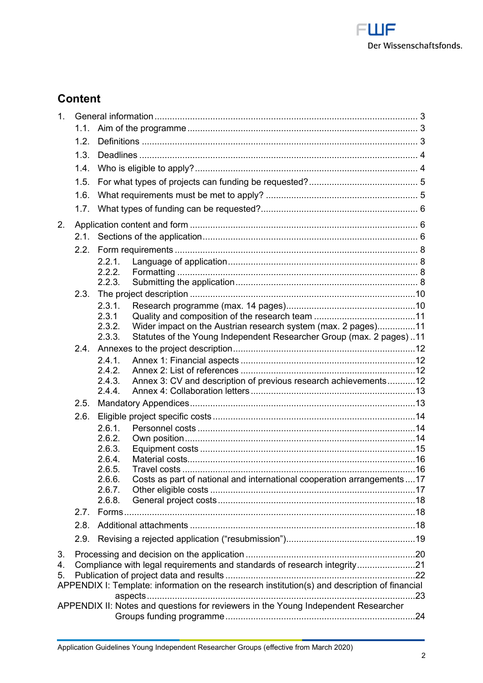

# **Content**

| 1 <sub>1</sub>                                                                                        |                                                                          |                  |                                                                                    |  |  |
|-------------------------------------------------------------------------------------------------------|--------------------------------------------------------------------------|------------------|------------------------------------------------------------------------------------|--|--|
|                                                                                                       | 1.1.                                                                     |                  |                                                                                    |  |  |
|                                                                                                       | 1.2.                                                                     |                  |                                                                                    |  |  |
|                                                                                                       | 1.3.                                                                     |                  |                                                                                    |  |  |
|                                                                                                       | 1.4.                                                                     |                  |                                                                                    |  |  |
|                                                                                                       | 1.5.                                                                     |                  |                                                                                    |  |  |
|                                                                                                       | 1.6.                                                                     |                  |                                                                                    |  |  |
|                                                                                                       | 1.7.                                                                     |                  |                                                                                    |  |  |
| 2.                                                                                                    |                                                                          |                  |                                                                                    |  |  |
|                                                                                                       | 2.1.                                                                     |                  |                                                                                    |  |  |
|                                                                                                       | 2.2.                                                                     |                  |                                                                                    |  |  |
|                                                                                                       |                                                                          | 2.2.1.           |                                                                                    |  |  |
|                                                                                                       |                                                                          | 2.2.2.           |                                                                                    |  |  |
|                                                                                                       |                                                                          | 2.2.3.           |                                                                                    |  |  |
|                                                                                                       | 2.3.                                                                     |                  |                                                                                    |  |  |
|                                                                                                       |                                                                          | 2.3.1.           |                                                                                    |  |  |
|                                                                                                       |                                                                          | 2.3.1<br>2.3.2.  | Wider impact on the Austrian research system (max. 2 pages)11                      |  |  |
|                                                                                                       |                                                                          | 2.3.3.           | Statutes of the Young Independent Researcher Group (max. 2 pages)11                |  |  |
|                                                                                                       | 2.4.                                                                     |                  |                                                                                    |  |  |
|                                                                                                       |                                                                          | 2.4.1.           |                                                                                    |  |  |
|                                                                                                       |                                                                          | 2.4.2.           |                                                                                    |  |  |
|                                                                                                       |                                                                          | 2.4.3.           | Annex 3: CV and description of previous research achievements12                    |  |  |
|                                                                                                       |                                                                          | 2.4.4.           |                                                                                    |  |  |
|                                                                                                       | 2.5.                                                                     |                  |                                                                                    |  |  |
|                                                                                                       | 2.6.                                                                     |                  |                                                                                    |  |  |
|                                                                                                       |                                                                          | 2.6.1.           |                                                                                    |  |  |
|                                                                                                       |                                                                          | 2.6.2.           |                                                                                    |  |  |
|                                                                                                       |                                                                          | 2.6.3.           |                                                                                    |  |  |
|                                                                                                       |                                                                          | 2.6.4.           |                                                                                    |  |  |
|                                                                                                       |                                                                          | 2.6.5.<br>2.6.6. | Costs as part of national and international cooperation arrangements17             |  |  |
|                                                                                                       |                                                                          | 2.6.7.           |                                                                                    |  |  |
|                                                                                                       |                                                                          | 2.6.8.           |                                                                                    |  |  |
|                                                                                                       | 2.7.                                                                     |                  |                                                                                    |  |  |
|                                                                                                       | 2.8.                                                                     |                  |                                                                                    |  |  |
|                                                                                                       | 2.9.                                                                     |                  |                                                                                    |  |  |
| 3.                                                                                                    |                                                                          |                  |                                                                                    |  |  |
| 4.                                                                                                    | Compliance with legal requirements and standards of research integrity21 |                  |                                                                                    |  |  |
| 5.                                                                                                    |                                                                          |                  |                                                                                    |  |  |
| APPENDIX I: Template: information on the research institution(s) and description of financial<br>. 23 |                                                                          |                  |                                                                                    |  |  |
|                                                                                                       |                                                                          |                  | APPENDIX II: Notes and questions for reviewers in the Young Independent Researcher |  |  |
|                                                                                                       |                                                                          |                  |                                                                                    |  |  |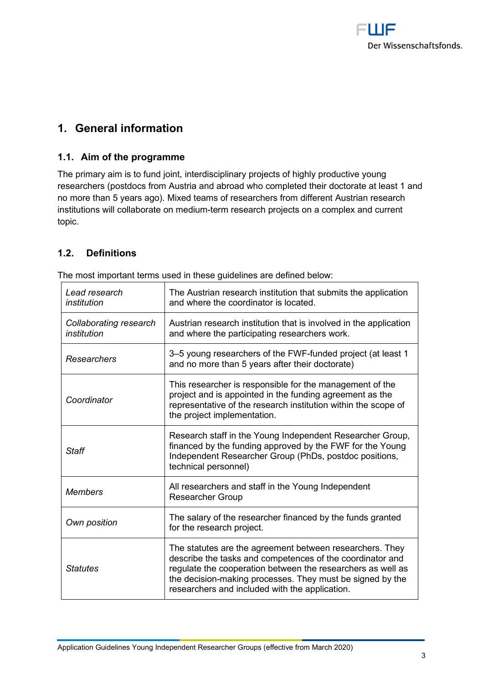

# **1. General information**

# **1.1. Aim of the programme**

The primary aim is to fund joint, interdisciplinary projects of highly productive young researchers (postdocs from Austria and abroad who completed their doctorate at least 1 and no more than 5 years ago). Mixed teams of researchers from different Austrian research institutions will collaborate on medium-term research projects on a complex and current topic.

# **1.2. Definitions**

| Lead research<br>institution          | The Austrian research institution that submits the application<br>and where the coordinator is located.                                                                                                                                                                                             |
|---------------------------------------|-----------------------------------------------------------------------------------------------------------------------------------------------------------------------------------------------------------------------------------------------------------------------------------------------------|
| Collaborating research<br>institution | Austrian research institution that is involved in the application<br>and where the participating researchers work.                                                                                                                                                                                  |
| Researchers                           | 3-5 young researchers of the FWF-funded project (at least 1<br>and no more than 5 years after their doctorate)                                                                                                                                                                                      |
| Coordinator                           | This researcher is responsible for the management of the<br>project and is appointed in the funding agreement as the<br>representative of the research institution within the scope of<br>the project implementation.                                                                               |
| <b>Staff</b>                          | Research staff in the Young Independent Researcher Group,<br>financed by the funding approved by the FWF for the Young<br>Independent Researcher Group (PhDs, postdoc positions,<br>technical personnel)                                                                                            |
| <b>Members</b>                        | All researchers and staff in the Young Independent<br><b>Researcher Group</b>                                                                                                                                                                                                                       |
| Own position                          | The salary of the researcher financed by the funds granted<br>for the research project.                                                                                                                                                                                                             |
| <b>Statutes</b>                       | The statutes are the agreement between researchers. They<br>describe the tasks and competences of the coordinator and<br>regulate the cooperation between the researchers as well as<br>the decision-making processes. They must be signed by the<br>researchers and included with the application. |

The most important terms used in these guidelines are defined below: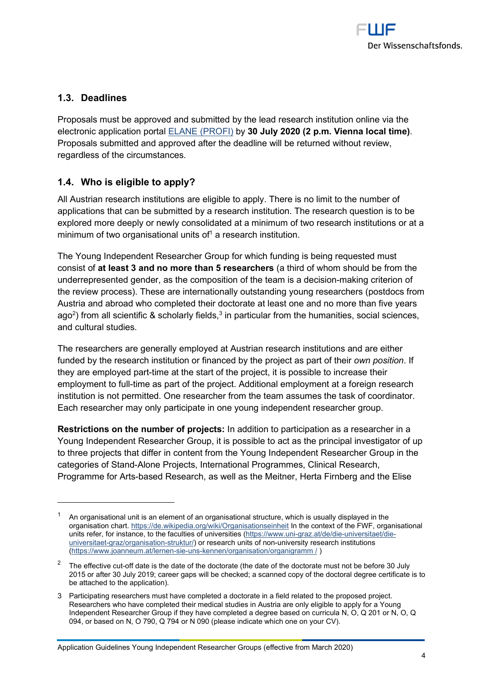

# **1.3. Deadlines**

Proposals must be approved and submitted by the lead research institution online via the electronic application portal ELANE (PROFI) by **30 July 2020 (2 p.m. Vienna local time)**. Proposals submitted and approved after the deadline will be returned without review, regardless of the circumstances.

# **1.4. Who is eligible to apply?**

All Austrian research institutions are eligible to apply. There is no limit to the number of applications that can be submitted by a research institution. The research question is to be explored more deeply or newly consolidated at a minimum of two research institutions or at a minimum of two organisational units of<sup>1</sup> a research institution.

The Young Independent Researcher Group for which funding is being requested must consist of **at least 3 and no more than 5 researchers** (a third of whom should be from the underrepresented gender, as the composition of the team is a decision-making criterion of the review process). These are internationally outstanding young researchers (postdocs from Austria and abroad who completed their doctorate at least one and no more than five years ago<sup>2</sup>) from all scientific & scholarly fields, $^3$  in particular from the humanities, social sciences, and cultural studies.

The researchers are generally employed at Austrian research institutions and are either funded by the research institution or financed by the project as part of their *own position*. If they are employed part-time at the start of the project, it is possible to increase their employment to full-time as part of the project. Additional employment at a foreign research institution is not permitted. One researcher from the team assumes the task of coordinator. Each researcher may only participate in one young independent researcher group.

**Restrictions on the number of projects:** In addition to participation as a researcher in a Young Independent Researcher Group, it is possible to act as the principal investigator of up to three projects that differ in content from the Young Independent Researcher Group in the categories of Stand-Alone Projects, International Programmes, Clinical Research, Programme for Arts-based Research, as well as the Meitner, Herta Firnberg and the Elise

 $^{\rm 1}$  An organisational unit is an element of an organisational structure, which is usually displayed in the organisation chart. https://de.wikipedia.org/wiki/Organisationseinheit In the context of the FWF, organisational units refer, for instance, to the faculties of universities (https://www.uni-graz.at/de/die-universitaet/dieuniversitaet-graz/organisation-struktur/) or research units of non-university research institutions (https://www.joanneum.at/lernen-sie-uns-kennen/organisation/organigramm / )

<sup>&</sup>lt;sup>2</sup> The effective cut-off date is the date of the doctorate (the date of the doctorate must not be before 30 July 2015 or after 30 July 2019; career gaps will be checked; a scanned copy of the doctoral degree certificate is to be attached to the application).

<sup>3</sup> Participating researchers must have completed a doctorate in a field related to the proposed project. Researchers who have completed their medical studies in Austria are only eligible to apply for a Young Independent Researcher Group if they have completed a degree based on curricula N, O, Q 201 or N, O, Q 094, or based on N, O 790, Q 794 or N 090 (please indicate which one on your CV).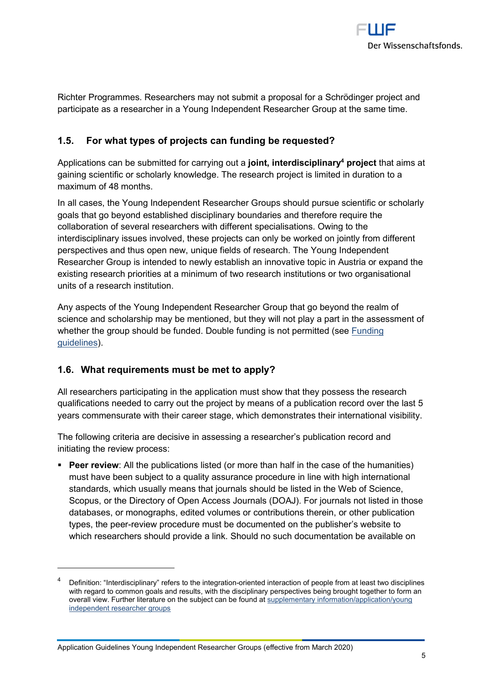

Richter Programmes. Researchers may not submit a proposal for a Schrödinger project and participate as a researcher in a Young Independent Researcher Group at the same time.

# **1.5. For what types of projects can funding be requested?**

Applications can be submitted for carrying out a **joint, interdisciplinary<sup>4</sup> project** that aims at gaining scientific or scholarly knowledge. The research project is limited in duration to a maximum of 48 months.

In all cases, the Young Independent Researcher Groups should pursue scientific or scholarly goals that go beyond established disciplinary boundaries and therefore require the collaboration of several researchers with different specialisations. Owing to the interdisciplinary issues involved, these projects can only be worked on jointly from different perspectives and thus open new, unique fields of research. The Young Independent Researcher Group is intended to newly establish an innovative topic in Austria or expand the existing research priorities at a minimum of two research institutions or two organisational units of a research institution.

Any aspects of the Young Independent Researcher Group that go beyond the realm of science and scholarship may be mentioned, but they will not play a part in the assessment of whether the group should be funded. Double funding is not permitted (see Funding guidelines).

# **1.6. What requirements must be met to apply?**

All researchers participating in the application must show that they possess the research qualifications needed to carry out the project by means of a publication record over the last 5 years commensurate with their career stage, which demonstrates their international visibility.

The following criteria are decisive in assessing a researcher's publication record and initiating the review process:

**Peer review**: All the publications listed (or more than half in the case of the humanities) must have been subject to a quality assurance procedure in line with high international standards, which usually means that journals should be listed in the Web of Science, Scopus, or the Directory of Open Access Journals (DOAJ). For journals not listed in those databases, or monographs, edited volumes or contributions therein, or other publication types, the peer-review procedure must be documented on the publisher's website to which researchers should provide a link. Should no such documentation be available on

<sup>4</sup> Definition: "Interdisciplinary" refers to the integration-oriented interaction of people from at least two disciplines with regard to common goals and results, with the disciplinary perspectives being brought together to form an overall view. Further literature on the subject can be found at supplementary information/application/young independent researcher groups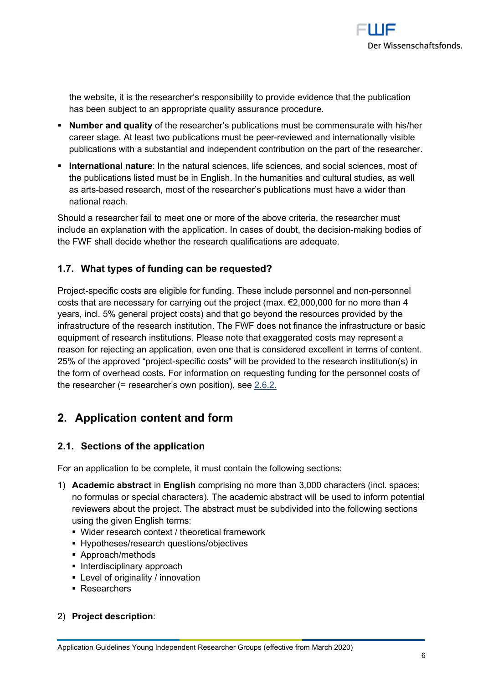

the website, it is the researcher's responsibility to provide evidence that the publication has been subject to an appropriate quality assurance procedure.

- **Number and quality** of the researcher's publications must be commensurate with his/her career stage. At least two publications must be peer-reviewed and internationally visible publications with a substantial and independent contribution on the part of the researcher.
- **International nature**: In the natural sciences, life sciences, and social sciences, most of the publications listed must be in English. In the humanities and cultural studies, as well as arts-based research, most of the researcher's publications must have a wider than national reach.

Should a researcher fail to meet one or more of the above criteria, the researcher must include an explanation with the application. In cases of doubt, the decision-making bodies of the FWF shall decide whether the research qualifications are adequate.

# **1.7. What types of funding can be requested?**

Project-specific costs are eligible for funding. These include personnel and non-personnel costs that are necessary for carrying out the project (max.  $\epsilon$ 2,000,000 for no more than 4 years, incl. 5% general project costs) and that go beyond the resources provided by the infrastructure of the research institution. The FWF does not finance the infrastructure or basic equipment of research institutions. Please note that exaggerated costs may represent a reason for rejecting an application, even one that is considered excellent in terms of content. 25% of the approved "project-specific costs" will be provided to the research institution(s) in the form of overhead costs. For information on requesting funding for the personnel costs of the researcher (= researcher's own position), see 2.6.2.

# **2. Application content and form**

# **2.1. Sections of the application**

For an application to be complete, it must contain the following sections:

- 1) **Academic abstract** in **English** comprising no more than 3,000 characters (incl. spaces; no formulas or special characters). The academic abstract will be used to inform potential reviewers about the project. The abstract must be subdivided into the following sections using the given English terms:
	- Wider research context / theoretical framework
	- **Hypotheses/research questions/objectives**
	- Approach/methods
	- **Interdisciplinary approach**
	- Level of originality / innovation
	- Researchers

# 2) **Project description**: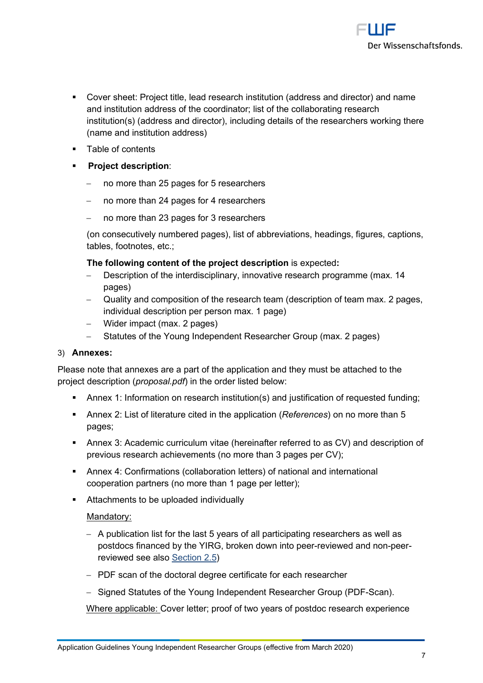

- Cover sheet: Project title, lead research institution (address and director) and name and institution address of the coordinator; list of the collaborating research institution(s) (address and director), including details of the researchers working there (name and institution address)
- **Table of contents**
- **Project description**:
	- no more than 25 pages for 5 researchers
	- no more than 24 pages for 4 researchers
	- no more than 23 pages for 3 researchers

(on consecutively numbered pages), list of abbreviations, headings, figures, captions, tables, footnotes, etc.;

#### **The following content of the project description** is expected**:**

- Description of the interdisciplinary, innovative research programme (max. 14 pages)
- Quality and composition of the research team (description of team max. 2 pages, individual description per person max. 1 page)
- Wider impact (max. 2 pages)
- Statutes of the Young Independent Researcher Group (max. 2 pages)

#### 3) **Annexes:**

Please note that annexes are a part of the application and they must be attached to the project description (*proposal.pdf*) in the order listed below:

- Annex 1: Information on research institution(s) and justification of requested funding;
- Annex 2: List of literature cited in the application (*References*) on no more than 5 pages;
- Annex 3: Academic curriculum vitae (hereinafter referred to as CV) and description of previous research achievements (no more than 3 pages per CV);
- Annex 4: Confirmations (collaboration letters) of national and international cooperation partners (no more than 1 page per letter);
- **Attachments to be uploaded individually**

#### Mandatory:

- A publication list for the last 5 years of all participating researchers as well as postdocs financed by the YIRG, broken down into peer-reviewed and non-peerreviewed see also Section 2.5)
- PDF scan of the doctoral degree certificate for each researcher
- Signed Statutes of the Young Independent Researcher Group (PDF-Scan).

Where applicable: Cover letter; proof of two years of postdoc research experience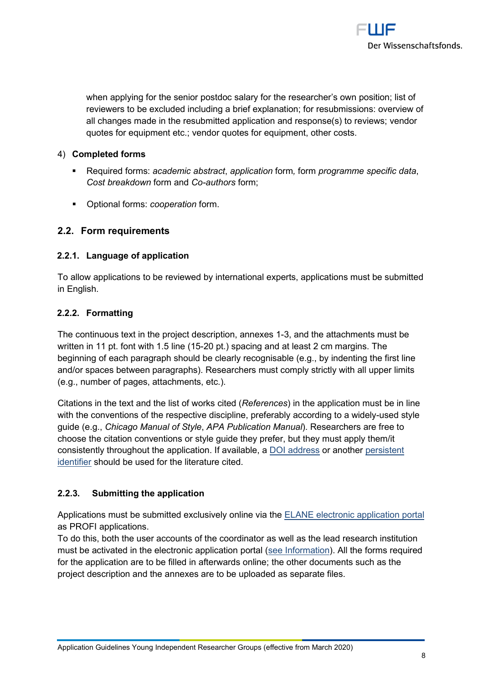

when applying for the senior postdoc salary for the researcher's own position; list of reviewers to be excluded including a brief explanation; for resubmissions: overview of all changes made in the resubmitted application and response(s) to reviews; vendor quotes for equipment etc.; vendor quotes for equipment, other costs.

#### 4) **Completed forms**

- Required forms: *academic abstract*, *application* form*,* form *programme specific data*, *Cost breakdown* form and *Co-authors* form;
- Optional forms: *cooperation* form.

# **2.2. Form requirements**

#### **2.2.1. Language of application**

To allow applications to be reviewed by international experts, applications must be submitted in English.

#### **2.2.2. Formatting**

The continuous text in the project description, annexes 1-3, and the attachments must be written in 11 pt. font with 1.5 line (15-20 pt.) spacing and at least 2 cm margins. The beginning of each paragraph should be clearly recognisable (e.g., by indenting the first line and/or spaces between paragraphs). Researchers must comply strictly with all upper limits (e.g., number of pages, attachments, etc.).

Citations in the text and the list of works cited (*References*) in the application must be in line with the conventions of the respective discipline, preferably according to a widely-used style guide (e.g., *Chicago Manual of Style*, *APA Publication Manual*). Researchers are free to choose the citation conventions or style guide they prefer, but they must apply them/it consistently throughout the application. If available, a DOI address or another persistent identifier should be used for the literature cited.

# **2.2.3. Submitting the application**

Applications must be submitted exclusively online via the ELANE electronic application portal as PROFI applications.

To do this, both the user accounts of the coordinator as well as the lead research institution must be activated in the electronic application portal (see Information). All the forms required for the application are to be filled in afterwards online; the other documents such as the project description and the annexes are to be uploaded as separate files.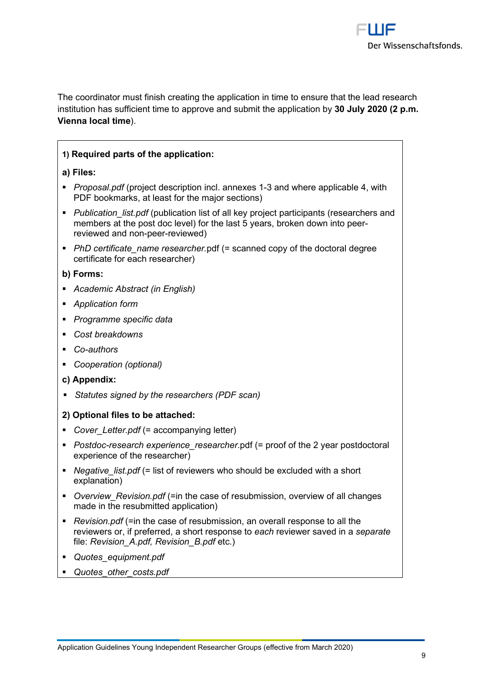

The coordinator must finish creating the application in time to ensure that the lead research institution has sufficient time to approve and submit the application by **30 July 2020 (2 p.m. Vienna local time**).

# **1) Required parts of the application:**

- **a) Files:**
- *Proposal.pdf* (project description incl. annexes 1-3 and where applicable 4, with PDF bookmarks, at least for the major sections)
- **Publication** list.pdf (publication list of all key project participants (researchers and members at the post doc level) for the last 5 years, broken down into peerreviewed and non-peer-reviewed)
- **PhD certificate name researcher.pdf (= scanned copy of the doctoral degree** certificate for each researcher)

#### **b) Forms:**

- *Academic Abstract (in English)*
- *Application form*
- *Programme specific data*
- *Cost breakdowns*
- *Co-authors*
- *Cooperation (optional)*
- **c) Appendix:**
- *Statutes signed by the researchers (PDF scan)*

#### **2) Optional files to be attached:**

- **•** Cover Letter.pdf (= accompanying letter)
- *Postdoc-research experience\_researcher*.pdf (= proof of the 2 year postdoctoral experience of the researcher)
- *Negative\_list.pdf* (= list of reviewers who should be excluded with a short explanation)
- *Overview\_Revision.pdf* (=in the case of resubmission, overview of all changes made in the resubmitted application)
- *Revision.pdf* (=in the case of resubmission, an overall response to all the reviewers or, if preferred, a short response to *each* reviewer saved in a *separate* file: *Revision\_A.pdf, Revision\_B.pdf* etc.)
- *Quotes\_equipment.pdf*
- *Quotes\_other\_costs.pdf*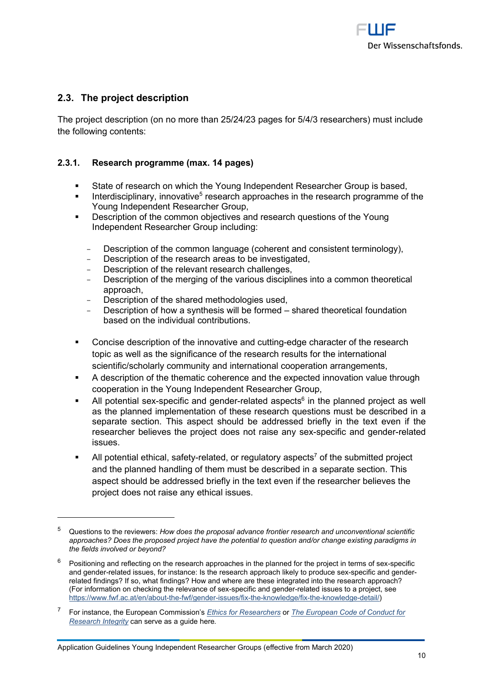

# **2.3. The project description**

The project description (on no more than 25/24/23 pages for 5/4/3 researchers) must include the following contents:

#### **2.3.1. Research programme (max. 14 pages)**

- State of research on which the Young Independent Researcher Group is based,
- Interdisciplinary, innovative<sup>5</sup> research approaches in the research programme of the Young Independent Researcher Group,
- Description of the common objectives and research questions of the Young Independent Researcher Group including:
	- Description of the common language (coherent and consistent terminology),
	- Description of the research areas to be investigated,
	- Description of the relevant research challenges,
	- Description of the merging of the various disciplines into a common theoretical approach,
	- Description of the shared methodologies used.
	- Description of how a synthesis will be formed shared theoretical foundation based on the individual contributions.
- Concise description of the innovative and cutting-edge character of the research topic as well as the significance of the research results for the international scientific/scholarly community and international cooperation arrangements,
- A description of the thematic coherence and the expected innovation value through cooperation in the Young Independent Researcher Group,
- $\blacksquare$  All potential sex-specific and gender-related aspects<sup>6</sup> in the planned project as well as the planned implementation of these research questions must be described in a separate section. This aspect should be addressed briefly in the text even if the researcher believes the project does not raise any sex-specific and gender-related issues.
- $\blacksquare$  All potential ethical, safety-related, or regulatory aspects<sup>7</sup> of the submitted project and the planned handling of them must be described in a separate section. This aspect should be addressed briefly in the text even if the researcher believes the project does not raise any ethical issues.

<sup>5</sup> Questions to the reviewers: *How does the proposal advance frontier research and unconventional scientific approaches? Does the proposed project have the potential to question and/or change existing paradigms in the fields involved or beyond?*

<sup>6</sup> Positioning and reflecting on the research approaches in the planned for the project in terms of sex-specific and gender-related issues, for instance: Is the research approach likely to produce sex-specific and genderrelated findings? If so, what findings? How and where are these integrated into the research approach? (For information on checking the relevance of sex-specific and gender-related issues to a project, see https://www.fwf.ac.at/en/about-the-fwf/gender-issues/fix-the-knowledge/fix-the-knowledge-detail/)

<sup>7</sup> For instance, the European Commission's *Ethics for Researchers* or *The European Code of Conduct for Research Integrity* can serve as a guide here*.*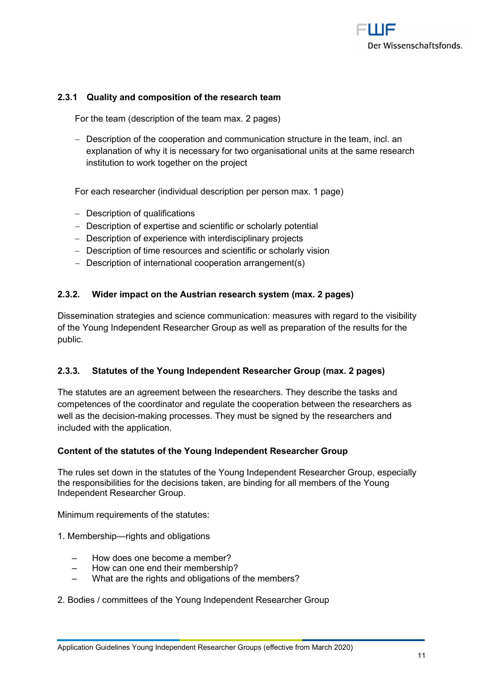

#### **2.3.1 Quality and composition of the research team**

For the team (description of the team max. 2 pages)

- Description of the cooperation and communication structure in the team, incl. an explanation of why it is necessary for two organisational units at the same research institution to work together on the project

For each researcher (individual description per person max. 1 page)

- Description of qualifications
- Description of expertise and scientific or scholarly potential
- Description of experience with interdisciplinary projects
- Description of time resources and scientific or scholarly vision
- Description of international cooperation arrangement(s)

#### **2.3.2. Wider impact on the Austrian research system (max. 2 pages)**

Dissemination strategies and science communication: measures with regard to the visibility of the Young Independent Researcher Group as well as preparation of the results for the public.

#### **2.3.3. Statutes of the Young Independent Researcher Group (max. 2 pages)**

The statutes are an agreement between the researchers. They describe the tasks and competences of the coordinator and regulate the cooperation between the researchers as well as the decision-making processes. They must be signed by the researchers and included with the application.

#### **Content of the statutes of the Young Independent Researcher Group**

The rules set down in the statutes of the Young Independent Researcher Group, especially the responsibilities for the decisions taken, are binding for all members of the Young Independent Researcher Group.

Minimum requirements of the statutes:

- 1. Membership—rights and obligations
	- ‒ How does one become a member?
	- ‒ How can one end their membership?
	- What are the rights and obligations of the members?

#### 2. Bodies / committees of the Young Independent Researcher Group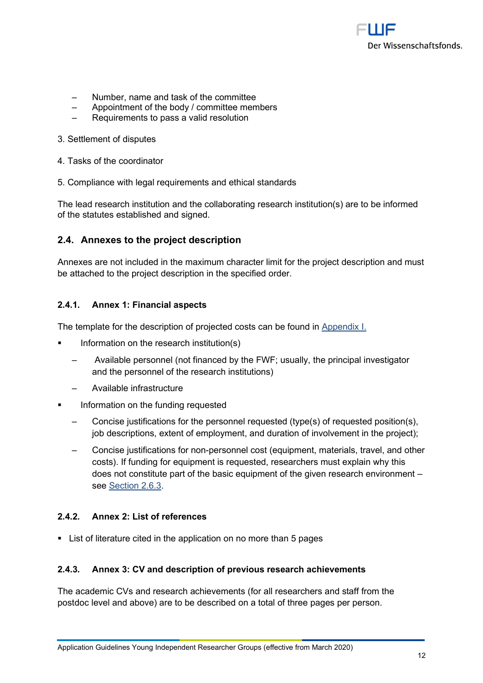

- ‒ Number, name and task of the committee
- ‒ Appointment of the body / committee members
- ‒ Requirements to pass a valid resolution
- 3. Settlement of disputes
- 4. Tasks of the coordinator
- 5. Compliance with legal requirements and ethical standards

The lead research institution and the collaborating research institution(s) are to be informed of the statutes established and signed.

#### **2.4. Annexes to the project description**

Annexes are not included in the maximum character limit for the project description and must be attached to the project description in the specified order.

#### **2.4.1. Annex 1: Financial aspects**

The template for the description of projected costs can be found in Appendix I.

- Information on the research institution(s)
	- ‒ Available personnel (not financed by the FWF; usually, the principal investigator and the personnel of the research institutions)
	- ‒ Available infrastructure
- Information on the funding requested
	- ‒ Concise justifications for the personnel requested (type(s) of requested position(s), job descriptions, extent of employment, and duration of involvement in the project);
	- ‒ Concise justifications for non-personnel cost (equipment, materials, travel, and other costs). If funding for equipment is requested, researchers must explain why this does not constitute part of the basic equipment of the given research environment – see Section 2.6.3.

#### **2.4.2. Annex 2: List of references**

List of literature cited in the application on no more than 5 pages

#### **2.4.3. Annex 3: CV and description of previous research achievements**

The academic CVs and research achievements (for all researchers and staff from the postdoc level and above) are to be described on a total of three pages per person.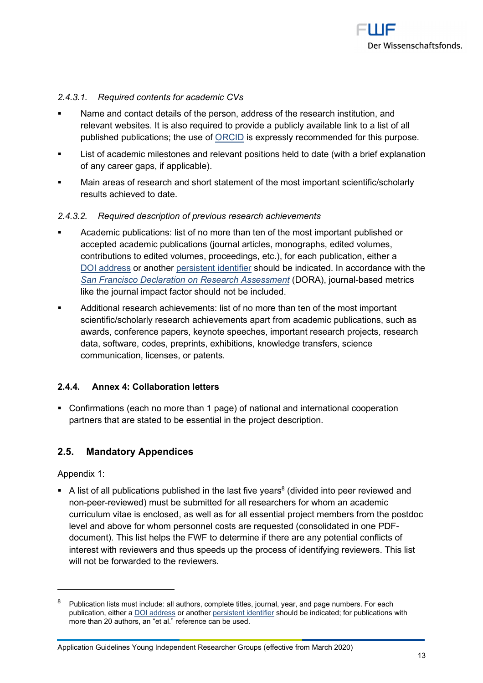

#### *2.4.3.1. Required contents for academic CVs*

- Name and contact details of the person, address of the research institution, and relevant websites. It is also required to provide a publicly available link to a list of all published publications; the use of ORCID is expressly recommended for this purpose.
- **EXECT** List of academic milestones and relevant positions held to date (with a brief explanation of any career gaps, if applicable).
- Main areas of research and short statement of the most important scientific/scholarly results achieved to date.

#### *2.4.3.2. Required description of previous research achievements*

- Academic publications: list of no more than ten of the most important published or accepted academic publications (journal articles, monographs, edited volumes, contributions to edited volumes, proceedings, etc.), for each publication, either a DOI address or another persistent identifier should be indicated. In accordance with the *San Francisco Declaration on Research Assessment* (DORA), journal-based metrics like the journal impact factor should not be included.
- Additional research achievements: list of no more than ten of the most important scientific/scholarly research achievements apart from academic publications, such as awards, conference papers, keynote speeches, important research projects, research data, software, codes, preprints, exhibitions, knowledge transfers, science communication, licenses, or patents.

#### **2.4.4. Annex 4: Collaboration letters**

 Confirmations (each no more than 1 page) of national and international cooperation partners that are stated to be essential in the project description.

#### **2.5. Mandatory Appendices**

Appendix 1:

 $\blacksquare$  A list of all publications published in the last five years<sup>8</sup> (divided into peer reviewed and non-peer-reviewed) must be submitted for all researchers for whom an academic curriculum vitae is enclosed, as well as for all essential project members from the postdoc level and above for whom personnel costs are requested (consolidated in one PDFdocument). This list helps the FWF to determine if there are any potential conflicts of interest with reviewers and thus speeds up the process of identifying reviewers. This list will not be forwarded to the reviewers.

<sup>8</sup> Publication lists must include: all authors, complete titles, journal, year, and page numbers. For each publication, either a DOI address or another persistent identifier should be indicated; for publications with more than 20 authors, an "et al." reference can be used.

Application Guidelines Young Independent Researcher Groups (effective from March 2020)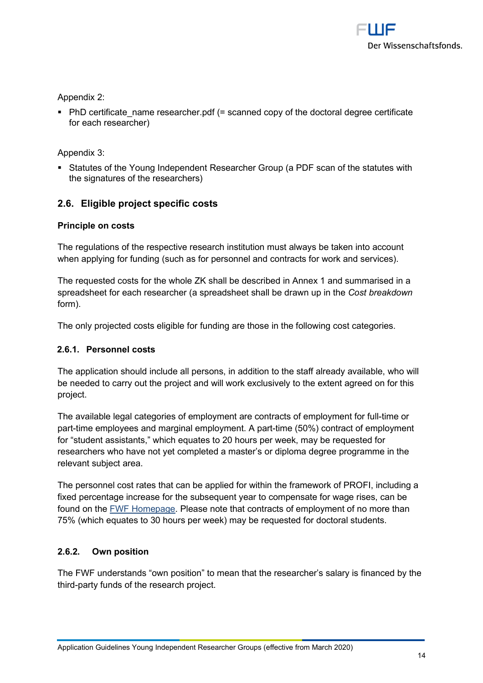

Appendix 2:

 $\blacksquare$  PhD certificate name researcher.pdf (= scanned copy of the doctoral degree certificate for each researcher)

Appendix 3:

 Statutes of the Young Independent Researcher Group (a PDF scan of the statutes with the signatures of the researchers)

# **2.6. Eligible project specific costs**

#### **Principle on costs**

The regulations of the respective research institution must always be taken into account when applying for funding (such as for personnel and contracts for work and services).

The requested costs for the whole ZK shall be described in Annex 1 and summarised in a spreadsheet for each researcher (a spreadsheet shall be drawn up in the *Cost breakdown* form).

The only projected costs eligible for funding are those in the following cost categories.

#### **2.6.1. Personnel costs**

The application should include all persons, in addition to the staff already available, who will be needed to carry out the project and will work exclusively to the extent agreed on for this project.

The available legal categories of employment are contracts of employment for full-time or part-time employees and marginal employment. A part-time (50%) contract of employment for "student assistants," which equates to 20 hours per week, may be requested for researchers who have not yet completed a master's or diploma degree programme in the relevant subject area.

The personnel cost rates that can be applied for within the framework of PROFI, including a fixed percentage increase for the subsequent year to compensate for wage rises, can be found on the FWF Homepage. Please note that contracts of employment of no more than 75% (which equates to 30 hours per week) may be requested for doctoral students.

# **2.6.2. Own position**

The FWF understands "own position" to mean that the researcher's salary is financed by the third-party funds of the research project.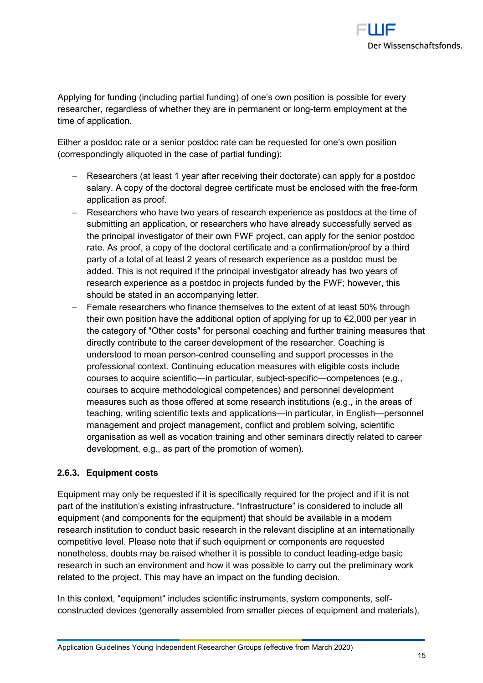

Applying for funding (including partial funding) of one's own position is possible for every researcher, regardless of whether they are in permanent or long-term employment at the time of application.

Either a postdoc rate or a senior postdoc rate can be requested for one's own position (correspondingly aliquoted in the case of partial funding):

- Researchers (at least 1 year after receiving their doctorate) can apply for a postdoc salary. A copy of the doctoral degree certificate must be enclosed with the free-form application as proof.
- Researchers who have two years of research experience as postdocs at the time of submitting an application, or researchers who have already successfully served as the principal investigator of their own FWF project, can apply for the senior postdoc rate. As proof, a copy of the doctoral certificate and a confirmation/proof by a third party of a total of at least 2 years of research experience as a postdoc must be added. This is not required if the principal investigator already has two years of research experience as a postdoc in projects funded by the FWF; however, this should be stated in an accompanying letter.
- Female researchers who finance themselves to the extent of at least 50% through their own position have the additional option of applying for up to €2,000 per year in the category of "Other costs" for personal coaching and further training measures that directly contribute to the career development of the researcher. Coaching is understood to mean person-centred counselling and support processes in the professional context. Continuing education measures with eligible costs include courses to acquire scientific—in particular, subject-specific—competences (e.g., courses to acquire methodological competences) and personnel development measures such as those offered at some research institutions (e.g., in the areas of teaching, writing scientific texts and applications—in particular, in English—personnel management and project management, conflict and problem solving, scientific organisation as well as vocation training and other seminars directly related to career development, e.g., as part of the promotion of women).

#### **2.6.3. Equipment costs**

Equipment may only be requested if it is specifically required for the project and if it is not part of the institution's existing infrastructure. "Infrastructure" is considered to include all equipment (and components for the equipment) that should be available in a modern research institution to conduct basic research in the relevant discipline at an internationally competitive level. Please note that if such equipment or components are requested nonetheless, doubts may be raised whether it is possible to conduct leading-edge basic research in such an environment and how it was possible to carry out the preliminary work related to the project. This may have an impact on the funding decision.

In this context, "equipment" includes scientific instruments, system components, selfconstructed devices (generally assembled from smaller pieces of equipment and materials),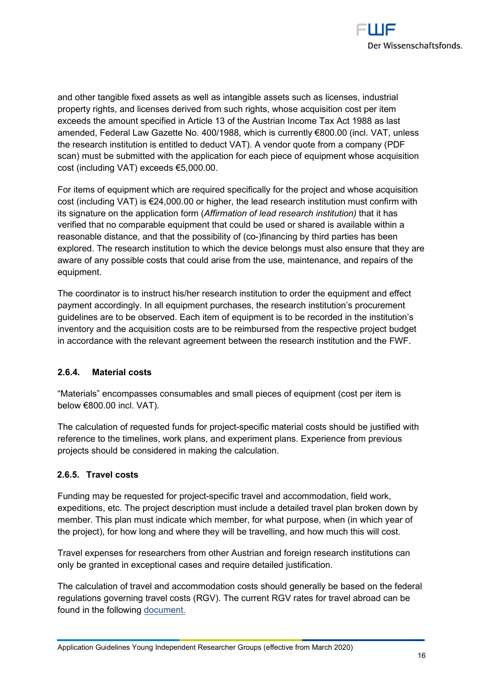

and other tangible fixed assets as well as intangible assets such as licenses, industrial property rights, and licenses derived from such rights, whose acquisition cost per item exceeds the amount specified in Article 13 of the Austrian Income Tax Act 1988 as last amended, Federal Law Gazette No. 400/1988, which is currently €800.00 (incl. VAT, unless the research institution is entitled to deduct VAT). A vendor quote from a company (PDF scan) must be submitted with the application for each piece of equipment whose acquisition cost (including VAT) exceeds €5,000.00.

For items of equipment which are required specifically for the project and whose acquisition cost (including VAT) is €24,000.00 or higher, the lead research institution must confirm with its signature on the application form (*Affirmation of lead research institution)* that it has verified that no comparable equipment that could be used or shared is available within a reasonable distance, and that the possibility of (co-)financing by third parties has been explored. The research institution to which the device belongs must also ensure that they are aware of any possible costs that could arise from the use, maintenance, and repairs of the equipment.

The coordinator is to instruct his/her research institution to order the equipment and effect payment accordingly. In all equipment purchases, the research institution's procurement guidelines are to be observed. Each item of equipment is to be recorded in the institution's inventory and the acquisition costs are to be reimbursed from the respective project budget in accordance with the relevant agreement between the research institution and the FWF.

# **2.6.4. Material costs**

"Materials" encompasses consumables and small pieces of equipment (cost per item is below €800.00 incl. VAT).

The calculation of requested funds for project-specific material costs should be justified with reference to the timelines, work plans, and experiment plans. Experience from previous projects should be considered in making the calculation.

# **2.6.5. Travel costs**

Funding may be requested for project-specific travel and accommodation, field work, expeditions, etc. The project description must include a detailed travel plan broken down by member. This plan must indicate which member, for what purpose, when (in which year of the project), for how long and where they will be travelling, and how much this will cost.

Travel expenses for researchers from other Austrian and foreign research institutions can only be granted in exceptional cases and require detailed justification.

The calculation of travel and accommodation costs should generally be based on the federal regulations governing travel costs (RGV). The current RGV rates for travel abroad can be found in the following document.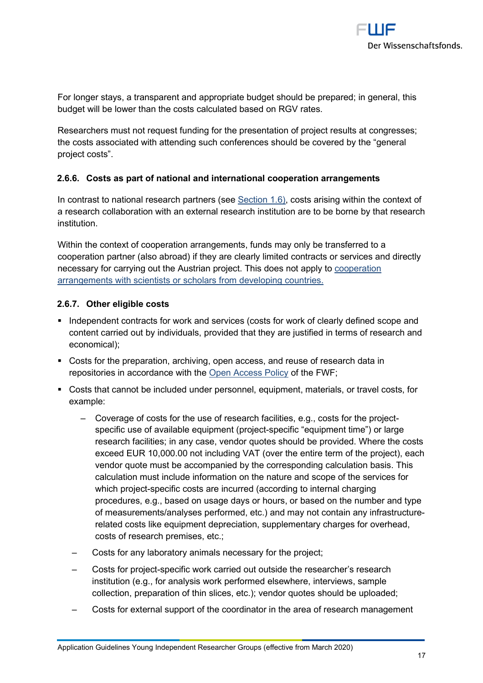

For longer stays, a transparent and appropriate budget should be prepared; in general, this budget will be lower than the costs calculated based on RGV rates.

Researchers must not request funding for the presentation of project results at congresses; the costs associated with attending such conferences should be covered by the "general project costs".

#### **2.6.6. Costs as part of national and international cooperation arrangements**

In contrast to national research partners (see Section 1.6), costs arising within the context of a research collaboration with an external research institution are to be borne by that research institution.

Within the context of cooperation arrangements, funds may only be transferred to a cooperation partner (also abroad) if they are clearly limited contracts or services and directly necessary for carrying out the Austrian project. This does not apply to cooperation arrangements with scientists or scholars from developing countries.

#### **2.6.7. Other eligible costs**

- Independent contracts for work and services (costs for work of clearly defined scope and content carried out by individuals, provided that they are justified in terms of research and economical);
- Costs for the preparation, archiving, open access, and reuse of research data in repositories in accordance with the Open Access Policy of the FWF;
- Costs that cannot be included under personnel, equipment, materials, or travel costs, for example:
	- ‒ Coverage of costs for the use of research facilities, e.g., costs for the projectspecific use of available equipment (project-specific "equipment time") or large research facilities; in any case, vendor quotes should be provided. Where the costs exceed EUR 10,000.00 not including VAT (over the entire term of the project), each vendor quote must be accompanied by the corresponding calculation basis. This calculation must include information on the nature and scope of the services for which project-specific costs are incurred (according to internal charging procedures, e.g., based on usage days or hours, or based on the number and type of measurements/analyses performed, etc.) and may not contain any infrastructurerelated costs like equipment depreciation, supplementary charges for overhead, costs of research premises, etc.;
	- ‒ Costs for any laboratory animals necessary for the project;
	- ‒ Costs for project-specific work carried out outside the researcher's research institution (e.g., for analysis work performed elsewhere, interviews, sample collection, preparation of thin slices, etc.); vendor quotes should be uploaded;
	- ‒ Costs for external support of the coordinator in the area of research management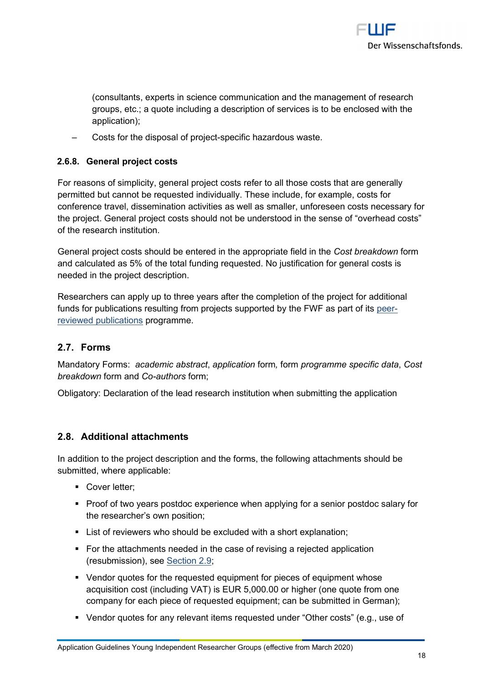

(consultants, experts in science communication and the management of research groups, etc.; a quote including a description of services is to be enclosed with the application);

‒ Costs for the disposal of project-specific hazardous waste.

#### **2.6.8. General project costs**

For reasons of simplicity, general project costs refer to all those costs that are generally permitted but cannot be requested individually. These include, for example, costs for conference travel, dissemination activities as well as smaller, unforeseen costs necessary for the project. General project costs should not be understood in the sense of "overhead costs" of the research institution.

General project costs should be entered in the appropriate field in the *Cost breakdown* form and calculated as 5% of the total funding requested. No justification for general costs is needed in the project description.

Researchers can apply up to three years after the completion of the project for additional funds for publications resulting from projects supported by the FWF as part of its peerreviewed publications programme.

# **2.7. Forms**

Mandatory Forms: *academic abstract*, *application* form*,* form *programme specific data*, *Cost breakdown* form and *Co-authors* form;

Obligatory: Declaration of the lead research institution when submitting the application

#### **2.8. Additional attachments**

In addition to the project description and the forms, the following attachments should be submitted, where applicable:

- **Cover letter:**
- **Proof of two years postdoc experience when applying for a senior postdoc salary for** the researcher's own position;
- **EXECT:** List of reviewers who should be excluded with a short explanation:
- For the attachments needed in the case of revising a rejected application (resubmission), see Section 2.9;
- Vendor quotes for the requested equipment for pieces of equipment whose acquisition cost (including VAT) is EUR 5,000.00 or higher (one quote from one company for each piece of requested equipment; can be submitted in German);
- Vendor quotes for any relevant items requested under "Other costs" (e.g., use of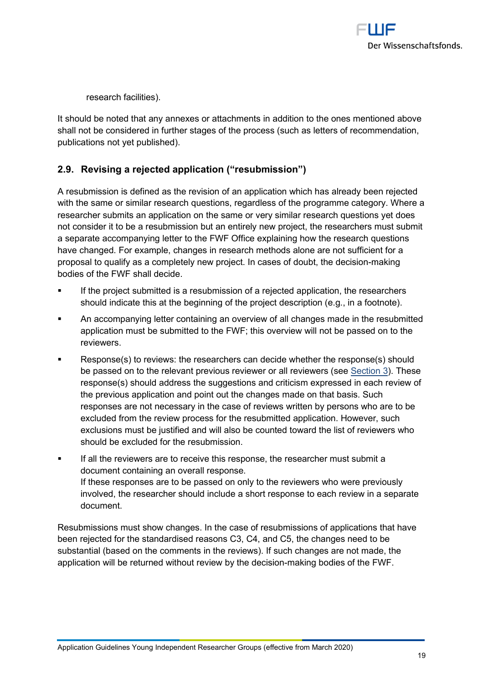

research facilities).

It should be noted that any annexes or attachments in addition to the ones mentioned above shall not be considered in further stages of the process (such as letters of recommendation, publications not yet published).

# **2.9. Revising a rejected application ("resubmission")**

A resubmission is defined as the revision of an application which has already been rejected with the same or similar research questions, regardless of the programme category. Where a researcher submits an application on the same or very similar research questions yet does not consider it to be a resubmission but an entirely new project, the researchers must submit a separate accompanying letter to the FWF Office explaining how the research questions have changed. For example, changes in research methods alone are not sufficient for a proposal to qualify as a completely new project. In cases of doubt, the decision-making bodies of the FWF shall decide.

- If the project submitted is a resubmission of a rejected application, the researchers should indicate this at the beginning of the project description (e.g., in a footnote).
- An accompanying letter containing an overview of all changes made in the resubmitted application must be submitted to the FWF; this overview will not be passed on to the reviewers.
- Response(s) to reviews: the researchers can decide whether the response(s) should be passed on to the relevant previous reviewer or all reviewers (see Section 3). These response(s) should address the suggestions and criticism expressed in each review of the previous application and point out the changes made on that basis. Such responses are not necessary in the case of reviews written by persons who are to be excluded from the review process for the resubmitted application. However, such exclusions must be justified and will also be counted toward the list of reviewers who should be excluded for the resubmission.
- If all the reviewers are to receive this response, the researcher must submit a document containing an overall response. If these responses are to be passed on only to the reviewers who were previously involved, the researcher should include a short response to each review in a separate document.

Resubmissions must show changes. In the case of resubmissions of applications that have been rejected for the standardised reasons C3, C4, and C5, the changes need to be substantial (based on the comments in the reviews). If such changes are not made, the application will be returned without review by the decision-making bodies of the FWF.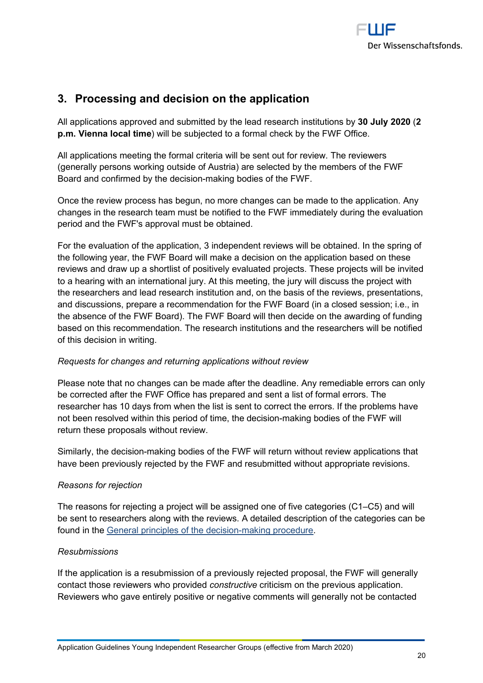

# **3. Processing and decision on the application**

All applications approved and submitted by the lead research institutions by **30 July 2020** (**2 p.m. Vienna local time**) will be subjected to a formal check by the FWF Office.

All applications meeting the formal criteria will be sent out for review. The reviewers (generally persons working outside of Austria) are selected by the members of the FWF Board and confirmed by the decision-making bodies of the FWF.

Once the review process has begun, no more changes can be made to the application. Any changes in the research team must be notified to the FWF immediately during the evaluation period and the FWF's approval must be obtained.

For the evaluation of the application, 3 independent reviews will be obtained. In the spring of the following year, the FWF Board will make a decision on the application based on these reviews and draw up a shortlist of positively evaluated projects. These projects will be invited to a hearing with an international jury. At this meeting, the jury will discuss the project with the researchers and lead research institution and, on the basis of the reviews, presentations, and discussions, prepare a recommendation for the FWF Board (in a closed session; i.e., in the absence of the FWF Board). The FWF Board will then decide on the awarding of funding based on this recommendation. The research institutions and the researchers will be notified of this decision in writing.

#### *Requests for changes and returning applications without review*

Please note that no changes can be made after the deadline. Any remediable errors can only be corrected after the FWF Office has prepared and sent a list of formal errors. The researcher has 10 days from when the list is sent to correct the errors. If the problems have not been resolved within this period of time, the decision-making bodies of the FWF will return these proposals without review.

Similarly, the decision-making bodies of the FWF will return without review applications that have been previously rejected by the FWF and resubmitted without appropriate revisions.

#### *Reasons for rejection*

The reasons for rejecting a project will be assigned one of five categories (C1–C5) and will be sent to researchers along with the reviews. A detailed description of the categories can be found in the General principles of the decision-making procedure.

# *Resubmissions*

If the application is a resubmission of a previously rejected proposal, the FWF will generally contact those reviewers who provided *constructive* criticism on the previous application. Reviewers who gave entirely positive or negative comments will generally not be contacted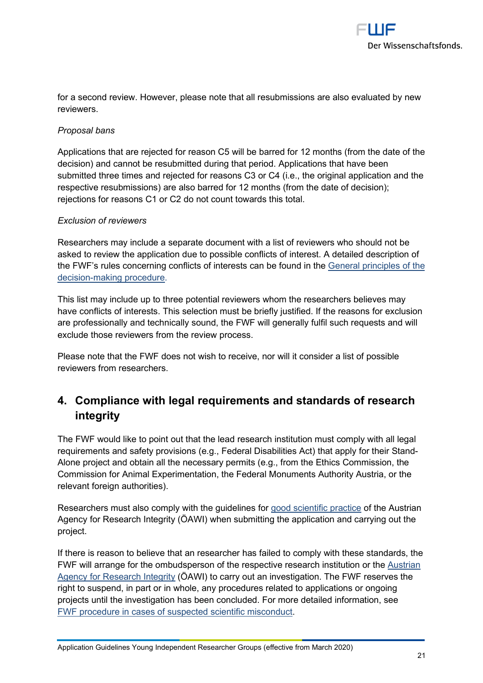

for a second review. However, please note that all resubmissions are also evaluated by new reviewers.

#### *Proposal bans*

Applications that are rejected for reason C5 will be barred for 12 months (from the date of the decision) and cannot be resubmitted during that period. Applications that have been submitted three times and rejected for reasons C3 or C4 (i.e., the original application and the respective resubmissions) are also barred for 12 months (from the date of decision); rejections for reasons C1 or C2 do not count towards this total.

#### *Exclusion of reviewers*

Researchers may include a separate document with a list of reviewers who should not be asked to review the application due to possible conflicts of interest. A detailed description of the FWF's rules concerning conflicts of interests can be found in the General principles of the decision-making procedure.

This list may include up to three potential reviewers whom the researchers believes may have conflicts of interests. This selection must be briefly justified. If the reasons for exclusion are professionally and technically sound, the FWF will generally fulfil such requests and will exclude those reviewers from the review process.

Please note that the FWF does not wish to receive, nor will it consider a list of possible reviewers from researchers.

# **4. Compliance with legal requirements and standards of research integrity**

The FWF would like to point out that the lead research institution must comply with all legal requirements and safety provisions (e.g., Federal Disabilities Act) that apply for their Stand-Alone project and obtain all the necessary permits (e.g., from the Ethics Commission, the Commission for Animal Experimentation, the Federal Monuments Authority Austria, or the relevant foreign authorities).

Researchers must also comply with the guidelines for good scientific practice of the Austrian Agency for Research Integrity (ÖAWI) when submitting the application and carrying out the project.

If there is reason to believe that an researcher has failed to comply with these standards, the FWF will arrange for the ombudsperson of the respective research institution or the Austrian Agency for Research Integrity (ÖAWI) to carry out an investigation. The FWF reserves the right to suspend, in part or in whole, any procedures related to applications or ongoing projects until the investigation has been concluded. For more detailed information, see FWF procedure in cases of suspected scientific misconduct.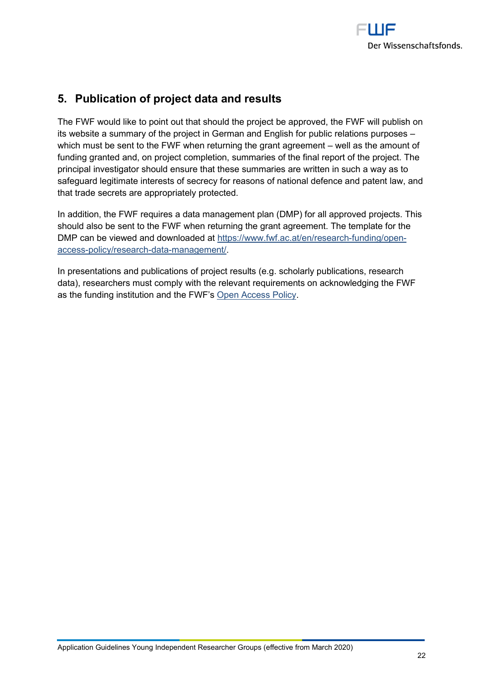

# **5. Publication of project data and results**

The FWF would like to point out that should the project be approved, the FWF will publish on its website a summary of the project in German and English for public relations purposes – which must be sent to the FWF when returning the grant agreement – well as the amount of funding granted and, on project completion, summaries of the final report of the project. The principal investigator should ensure that these summaries are written in such a way as to safeguard legitimate interests of secrecy for reasons of national defence and patent law, and that trade secrets are appropriately protected.

In addition, the FWF requires a data management plan (DMP) for all approved projects. This should also be sent to the FWF when returning the grant agreement. The template for the DMP can be viewed and downloaded at https://www.fwf.ac.at/en/research-funding/openaccess-policy/research-data-management/.

In presentations and publications of project results (e.g. scholarly publications, research data), researchers must comply with the relevant requirements on acknowledging the FWF as the funding institution and the FWF's Open Access Policy.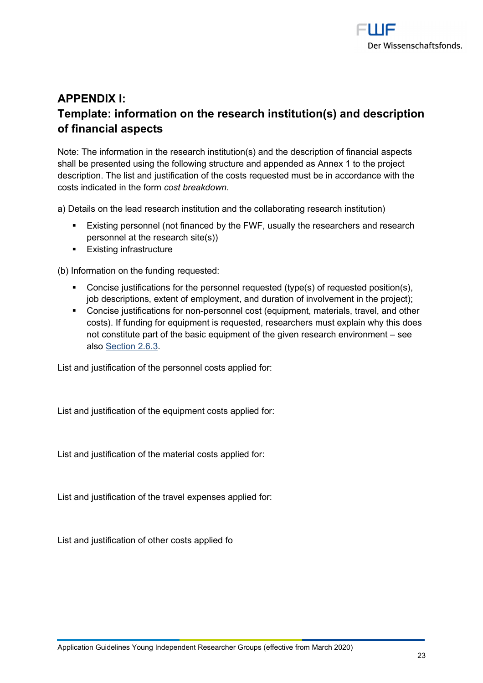

# **APPENDIX I: Template: information on the research institution(s) and description of financial aspects**

Note: The information in the research institution(s) and the description of financial aspects shall be presented using the following structure and appended as Annex 1 to the project description. The list and justification of the costs requested must be in accordance with the costs indicated in the form *cost breakdown*.

a) Details on the lead research institution and the collaborating research institution)

- **Existing personnel (not financed by the FWF, usually the researchers and research** personnel at the research site(s))
- **Existing infrastructure**

(b) Information on the funding requested:

- Concise justifications for the personnel requested (type(s) of requested position(s), job descriptions, extent of employment, and duration of involvement in the project);
- Concise justifications for non-personnel cost (equipment, materials, travel, and other costs). If funding for equipment is requested, researchers must explain why this does not constitute part of the basic equipment of the given research environment – see also Section 2.6.3.

List and justification of the personnel costs applied for:

List and justification of the equipment costs applied for:

List and justification of the material costs applied for:

List and justification of the travel expenses applied for:

List and justification of other costs applied fo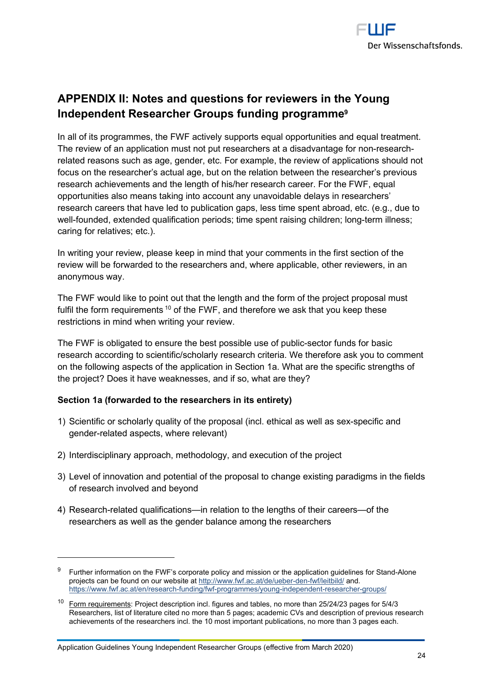

# **APPENDIX II: Notes and questions for reviewers in the Young Independent Researcher Groups funding programme<sup>9</sup>**

In all of its programmes, the FWF actively supports equal opportunities and equal treatment. The review of an application must not put researchers at a disadvantage for non-researchrelated reasons such as age, gender, etc. For example, the review of applications should not focus on the researcher's actual age, but on the relation between the researcher's previous research achievements and the length of his/her research career. For the FWF, equal opportunities also means taking into account any unavoidable delays in researchers' research careers that have led to publication gaps, less time spent abroad, etc. (e.g., due to well-founded, extended qualification periods; time spent raising children; long-term illness; caring for relatives; etc.).

In writing your review, please keep in mind that your comments in the first section of the review will be forwarded to the researchers and, where applicable, other reviewers, in an anonymous way.

The FWF would like to point out that the length and the form of the project proposal must fulfil the form requirements<sup>10</sup> of the FWF, and therefore we ask that you keep these restrictions in mind when writing your review.

The FWF is obligated to ensure the best possible use of public-sector funds for basic research according to scientific/scholarly research criteria. We therefore ask you to comment on the following aspects of the application in Section 1a. What are the specific strengths of the project? Does it have weaknesses, and if so, what are they?

#### **Section 1a (forwarded to the researchers in its entirety)**

- 1) Scientific or scholarly quality of the proposal (incl. ethical as well as sex-specific and gender-related aspects, where relevant)
- 2) Interdisciplinary approach, methodology, and execution of the project
- 3) Level of innovation and potential of the proposal to change existing paradigms in the fields of research involved and beyond
- 4) Research-related qualifications—in relation to the lengths of their careers—of the researchers as well as the gender balance among the researchers

<sup>&</sup>lt;sup>9</sup> Further information on the FWF's corporate policy and mission or the application guidelines for Stand-Alone projects can be found on our website at http://www.fwf.ac.at/de/ueber-den-fwf/leitbild/ and. https://www.fwf.ac.at/en/research-funding/fwf-programmes/young-independent-researcher-groups/

<sup>&</sup>lt;sup>10</sup> Form requirements: Project description incl. figures and tables, no more than 25/24/23 pages for 5/4/3 Researchers, list of literature cited no more than 5 pages; academic CVs and description of previous research achievements of the researchers incl. the 10 most important publications, no more than 3 pages each.